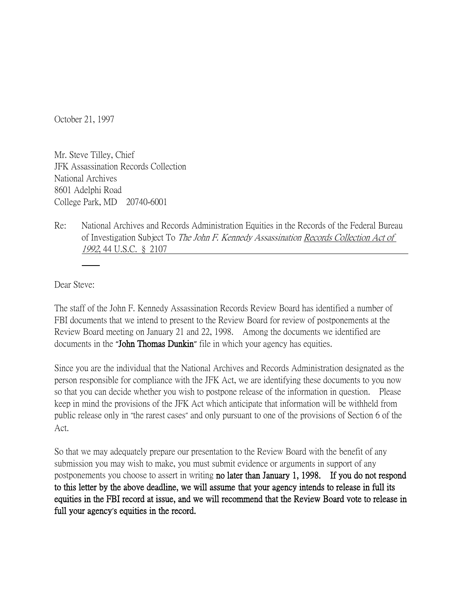October 21, 1997

Mr. Steve Tilley, Chief JFK Assassination Records Collection National Archives 8601 Adelphi Road College Park, MD 20740-6001

Re: National Archives and Records Administration Equities in the Records of the Federal Bureau of Investigation Subject To The John F. Kennedy Assassination Records Collection Act of 1992, 44 U.S.C. § 2107

Dear Steve:

The staff of the John F. Kennedy Assassination Records Review Board has identified a number of FBI documents that we intend to present to the Review Board for review of postponements at the Review Board meeting on January 21 and 22, 1998. Among the documents we identified are documents in the **"**John Thomas Dunkin**"** file in which your agency has equities.

Since you are the individual that the National Archives and Records Administration designated as the person responsible for compliance with the JFK Act, we are identifying these documents to you now so that you can decide whether you wish to postpone release of the information in question. Please keep in mind the provisions of the JFK Act which anticipate that information will be withheld from public release only in "the rarest cases" and only pursuant to one of the provisions of Section 6 of the Act.

So that we may adequately prepare our presentation to the Review Board with the benefit of any submission you may wish to make, you must submit evidence or arguments in support of any postponements you choose to assert in writing no later than January 1, 1998. If you do not respond to this letter by the above deadline, we will assume that your agency intends to release in full its equities in the FBI record at issue, and we will recommend that the Review Board vote to release in full your agency**'**s equities in the record.